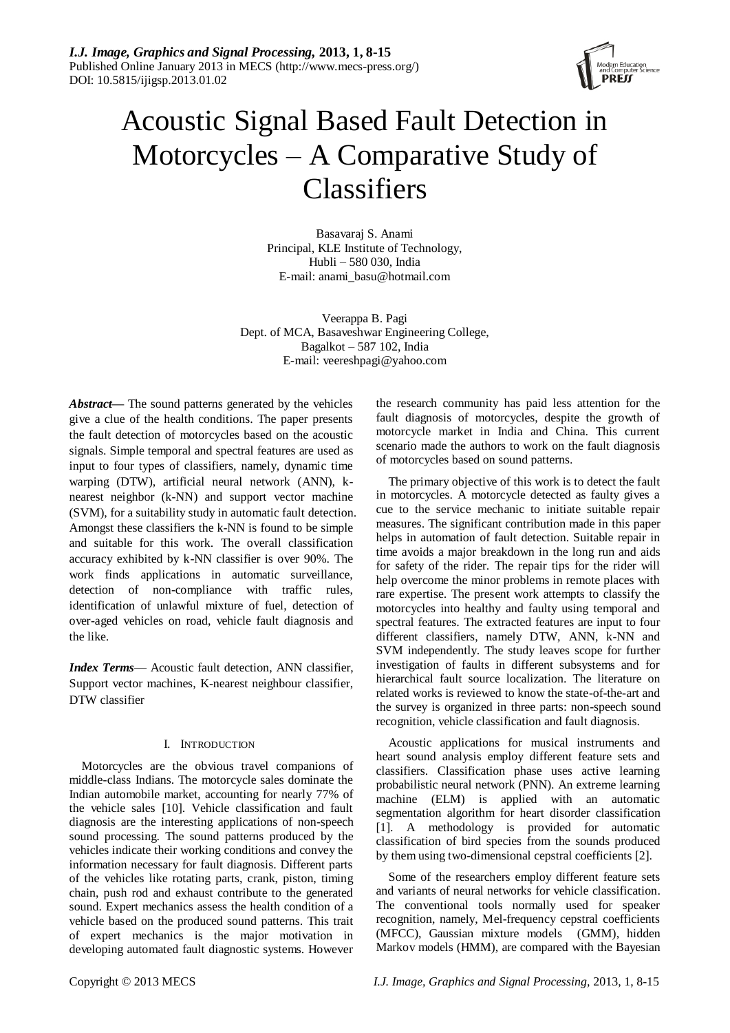

# Acoustic Signal Based Fault Detection in Motorcycles – A Comparative Study of **Classifiers**

Basavaraj S. Anami Principal, KLE Institute of Technology, Hubli – 580 030, India E-mail: anami\_basu@hotmail.com

Veerappa B. Pagi Dept. of MCA, Basaveshwar Engineering College, Bagalkot – 587 102, India E-mail: veereshpagi@yahoo.com

*Abstract—* The sound patterns generated by the vehicles give a clue of the health conditions. The paper presents the fault detection of motorcycles based on the acoustic signals. Simple temporal and spectral features are used as input to four types of classifiers, namely, dynamic time warping (DTW), artificial neural network (ANN), knearest neighbor (k-NN) and support vector machine (SVM), for a suitability study in automatic fault detection. Amongst these classifiers the k-NN is found to be simple and suitable for this work. The overall classification accuracy exhibited by k-NN classifier is over 90%. The work finds applications in automatic surveillance, detection of non-compliance with traffic rules, identification of unlawful mixture of fuel, detection of over-aged vehicles on road, vehicle fault diagnosis and the like.

*Index Terms*— Acoustic fault detection, ANN classifier, Support vector machines, K-nearest neighbour classifier, DTW classifier

# I. INTRODUCTION

Motorcycles are the obvious travel companions of middle-class Indians. The motorcycle sales dominate the Indian automobile market, accounting for nearly 77% of the vehicle sales [10]. Vehicle classification and fault diagnosis are the interesting applications of non-speech sound processing. The sound patterns produced by the vehicles indicate their working conditions and convey the information necessary for fault diagnosis. Different parts of the vehicles like rotating parts, crank, piston, timing chain, push rod and exhaust contribute to the generated sound. Expert mechanics assess the health condition of a vehicle based on the produced sound patterns. This trait of expert mechanics is the major motivation in developing automated fault diagnostic systems. However

the research community has paid less attention for the fault diagnosis of motorcycles, despite the growth of motorcycle market in India and China. This current scenario made the authors to work on the fault diagnosis of motorcycles based on sound patterns.

The primary objective of this work is to detect the fault in motorcycles. A motorcycle detected as faulty gives a cue to the service mechanic to initiate suitable repair measures. The significant contribution made in this paper helps in automation of fault detection. Suitable repair in time avoids a major breakdown in the long run and aids for safety of the rider. The repair tips for the rider will help overcome the minor problems in remote places with rare expertise. The present work attempts to classify the motorcycles into healthy and faulty using temporal and spectral features. The extracted features are input to four different classifiers, namely DTW, ANN, k-NN and SVM independently. The study leaves scope for further investigation of faults in different subsystems and for hierarchical fault source localization. The literature on related works is reviewed to know the state-of-the-art and the survey is organized in three parts: non-speech sound recognition, vehicle classification and fault diagnosis.

Acoustic applications for musical instruments and heart sound analysis employ different feature sets and classifiers. Classification phase uses active learning probabilistic neural network (PNN). An extreme learning machine (ELM) is applied with an automatic segmentation algorithm for heart disorder classification [1]. A methodology is provided for automatic classification of bird species from the sounds produced by them using two-dimensional cepstral coefficients [2].

Some of the researchers employ different feature sets and variants of neural networks for vehicle classification. The conventional tools normally used for speaker recognition, namely, Mel-frequency cepstral coefficients (MFCC), Gaussian mixture models (GMM), hidden Markov models (HMM), are compared with the Bayesian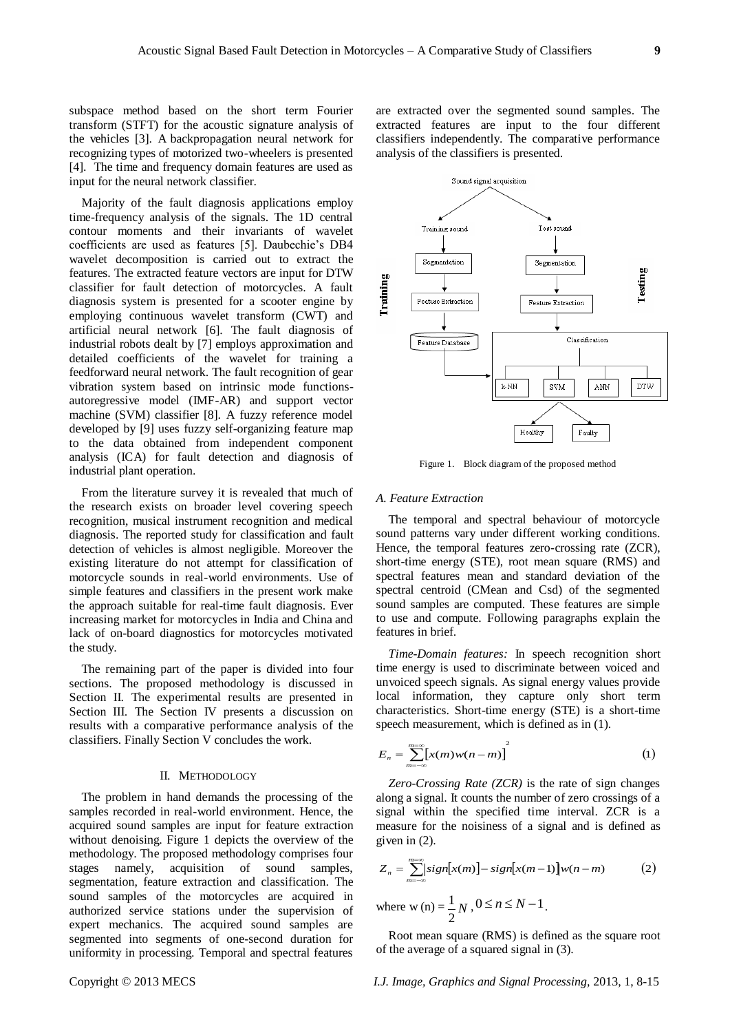subspace method based on the short term Fourier transform (STFT) for the acoustic signature analysis of the vehicles [3]. A backpropagation neural network for recognizing types of motorized two-wheelers is presented [4]. The time and frequency domain features are used as input for the neural network classifier.

Majority of the fault diagnosis applications employ time-frequency analysis of the signals. The 1D central contour moments and their invariants of wavelet coefficients are used as features [5]. Daubechie's DB4 wavelet decomposition is carried out to extract the features. The extracted feature vectors are input for DTW classifier for fault detection of motorcycles. A fault diagnosis system is presented for a scooter engine by employing continuous wavelet transform (CWT) and artificial neural network [6]. The fault diagnosis of industrial robots dealt by [7] employs approximation and detailed coefficients of the wavelet for training a feedforward neural network. The fault recognition of gear vibration system based on intrinsic mode functionsautoregressive model (IMF-AR) and support vector machine (SVM) classifier [8]. A fuzzy reference model developed by [9] uses fuzzy self-organizing feature map to the data obtained from independent component analysis (ICA) for fault detection and diagnosis of industrial plant operation.

From the literature survey it is revealed that much of the research exists on broader level covering speech recognition, musical instrument recognition and medical diagnosis. The reported study for classification and fault detection of vehicles is almost negligible. Moreover the existing literature do not attempt for classification of motorcycle sounds in real-world environments. Use of simple features and classifiers in the present work make the approach suitable for real-time fault diagnosis. Ever increasing market for motorcycles in India and China and lack of on-board diagnostics for motorcycles motivated the study.

The remaining part of the paper is divided into four sections. The proposed methodology is discussed in Section II. The experimental results are presented in Section III. The Section IV presents a discussion on results with a comparative performance analysis of the classifiers. Finally Section V concludes the work.

## II. METHODOLOGY

The problem in hand demands the processing of the samples recorded in real-world environment. Hence, the acquired sound samples are input for feature extraction without denoising. Figure 1 depicts the overview of the methodology. The proposed methodology comprises four stages namely, acquisition of sound samples, segmentation, feature extraction and classification. The sound samples of the motorcycles are acquired in authorized service stations under the supervision of expert mechanics. The acquired sound samples are segmented into segments of one-second duration for uniformity in processing. Temporal and spectral features

are extracted over the segmented sound samples. The extracted features are input to the four different classifiers independently. The comparative performance analysis of the classifiers is presented.



Figure 1. Block diagram of the proposed method

#### *A. Feature Extraction*

The temporal and spectral behaviour of motorcycle sound patterns vary under different working conditions. Hence, the temporal features zero-crossing rate (ZCR), short-time energy (STE), root mean square (RMS) and spectral features mean and standard deviation of the spectral centroid (CMean and Csd) of the segmented sound samples are computed. These features are simple to use and compute. Following paragraphs explain the features in brief.

*Time-Domain features:* In speech recognition short time energy is used to discriminate between voiced and unvoiced speech signals. As signal energy values provide local information, they capture only short term characteristics. Short-time energy (STE) is a short-time speech measurement, which is defined as in (1).

$$
E_n = \sum_{m=-\infty}^{m=\infty} \left[ x(m)w(n-m) \right]^2 \tag{1}
$$

*Zero-Crossing Rate (ZCR)* is the rate of sign changes along a signal. It counts the number of zero crossings of a signal within the specified time interval. ZCR is a measure for the noisiness of a signal and is defined as given in (2).

$$
Z_n = \sum_{m=-\infty}^{m=\infty} [sign[x(m)] - sign[x(m-1)]w(n-m)
$$
 (2)  
where w(n) =  $\frac{1}{2}N$ ,  $0 \le n \le N-1$ .

Root mean square (RMS) is defined as the square root of the average of a squared signal in (3).

2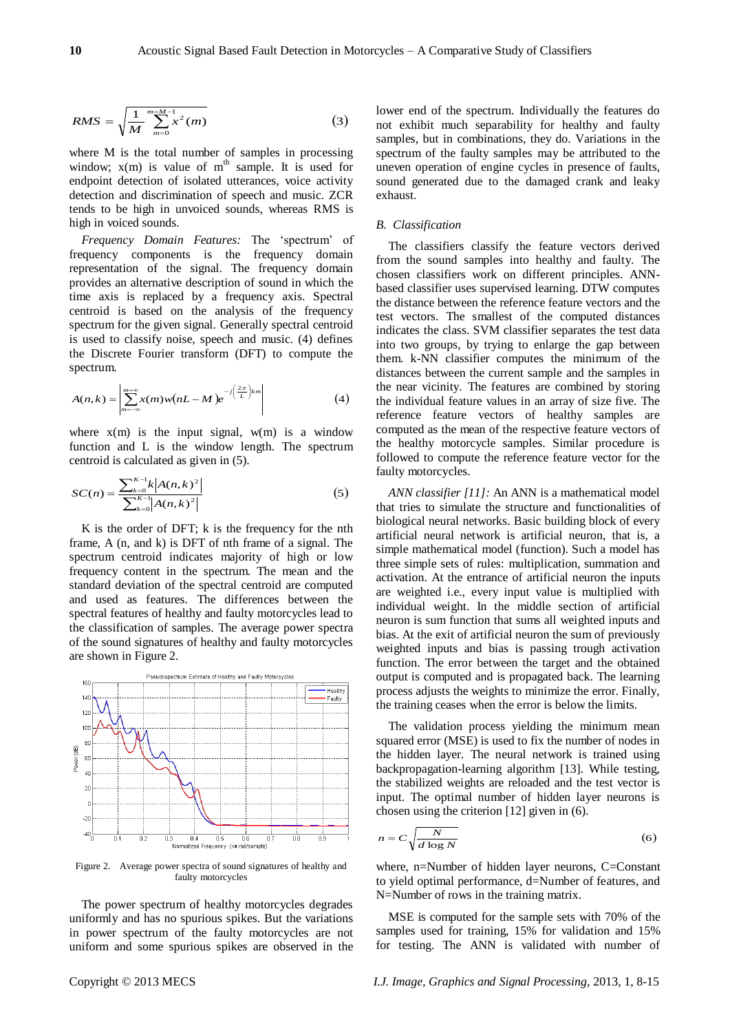$$
RMS = \sqrt{\frac{1}{M} \sum_{m=0}^{m=M-1} x^2(m)} \tag{3}
$$

where M is the total number of samples in processing window;  $x(m)$  is value of  $m<sup>th</sup>$  sample. It is used for endpoint detection of isolated utterances, voice activity detection and discrimination of speech and music. ZCR tends to be high in unvoiced sounds, whereas RMS is high in voiced sounds.

*Frequency Domain Features:* The 'spectrum' of frequency components is the frequency domain representation of the signal. The frequency domain provides an alternative description of sound in which the time axis is replaced by a frequency axis. Spectral centroid is based on the analysis of the frequency spectrum for the given signal. Generally spectral centroid is used to classify noise, speech and music. (4) defines the Discrete Fourier transform (DFT) to compute the spectrum.

$$
A(n,k) = \left| \sum_{m=-\infty}^{m=\infty} x(m)w(nL-M)e^{-j\left(\frac{2\pi}{L}\right)km} \right| \tag{4}
$$

where  $x(m)$  is the input signal,  $w(m)$  is a window function and L is the window length. The spectrum centroid is calculated as given in (5).

$$
SC(n) = \frac{\sum_{k=0}^{K-1} k |A(n,k)|^2}{\sum_{k=0}^{K-1} |A(n,k)|^2}
$$
 (5)

K is the order of DFT; k is the frequency for the nth frame, A (n, and k) is DFT of nth frame of a signal. The spectrum centroid indicates majority of high or low frequency content in the spectrum. The mean and the standard deviation of the spectral centroid are computed and used as features. The differences between the spectral features of healthy and faulty motorcycles lead to the classification of samples. The average power spectra of the sound signatures of healthy and faulty motorcycles are shown in Figure 2.



Figure 2. Average power spectra of sound signatures of healthy and faulty motorcycles

The power spectrum of healthy motorcycles degrades uniformly and has no spurious spikes. But the variations in power spectrum of the faulty motorcycles are not uniform and some spurious spikes are observed in the

lower end of the spectrum. Individually the features do not exhibit much separability for healthy and faulty samples, but in combinations, they do. Variations in the spectrum of the faulty samples may be attributed to the uneven operation of engine cycles in presence of faults, sound generated due to the damaged crank and leaky exhaust.

## *B. Classification*

AMS  $\sim \frac{1}{\sqrt{2}} \sum_{n=1}^{\infty} a^n(n)$  or  $n(n)$  and  $n(n)$  and  $n(n)$  and  $n(n)$  and  $n(n)$  and  $n(n)$  and  $n(n)$  and  $n(n)$  and  $n(n)$  and  $n(n)$  and  $n(n)$  and  $n(n)$  and  $n(n)$  and  $n(n)$  and  $n(n)$  and  $n(n)$  and  $n(n)$  and  $n(n)$  and  $n(n$ The classifiers classify the feature vectors derived from the sound samples into healthy and faulty. The chosen classifiers work on different principles. ANNbased classifier uses supervised learning. DTW computes the distance between the reference feature vectors and the test vectors. The smallest of the computed distances indicates the class. SVM classifier separates the test data into two groups, by trying to enlarge the gap between them. k-NN classifier computes the minimum of the distances between the current sample and the samples in the near vicinity. The features are combined by storing the individual feature values in an array of size five. The reference feature vectors of healthy samples are computed as the mean of the respective feature vectors of the healthy motorcycle samples. Similar procedure is followed to compute the reference feature vector for the faulty motorcycles.

*ANN classifier [11]:* An ANN is a mathematical model that tries to simulate the structure and functionalities of biological neural networks. Basic building block of every artificial neural network is artificial neuron, that is, a simple mathematical model (function). Such a model has three simple sets of rules: multiplication, summation and activation. At the entrance of artificial neuron the inputs are weighted i.e., every input value is multiplied with individual weight. In the middle section of artificial neuron is sum function that sums all weighted inputs and bias. At the exit of artificial neuron the sum of previously weighted inputs and bias is passing trough activation function. The error between the target and the obtained output is computed and is propagated back. The learning process adjusts the weights to minimize the error. Finally, the training ceases when the error is below the limits.

The validation process yielding the minimum mean squared error (MSE) is used to fix the number of nodes in the hidden layer. The neural network is trained using backpropagation-learning algorithm [13]. While testing, the stabilized weights are reloaded and the test vector is input. The optimal number of hidden layer neurons is chosen using the criterion [12] given in (6).

$$
n = C \sqrt{\frac{N}{d \log N}}
$$
 (6)

where, n=Number of hidden layer neurons, C=Constant to yield optimal performance, d=Number of features, and N=Number of rows in the training matrix.

MSE is computed for the sample sets with 70% of the samples used for training, 15% for validation and 15% for testing. The ANN is validated with number of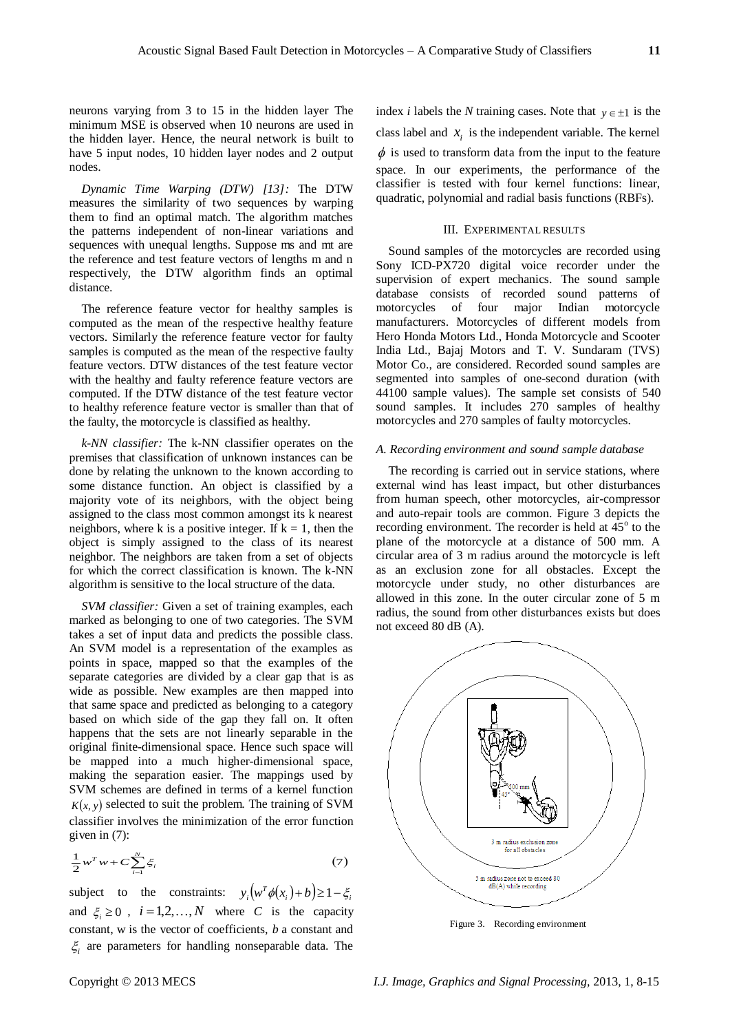neurons varying from 3 to 15 in the hidden layer The minimum MSE is observed when 10 neurons are used in the hidden layer. Hence, the neural network is built to have 5 input nodes, 10 hidden layer nodes and 2 output nodes.

*Dynamic Time Warping (DTW) [13]:* The DTW measures the similarity of two sequences by warping them to find an optimal match. The algorithm matches the patterns independent of non-linear variations and sequences with unequal lengths. Suppose ms and mt are the reference and test feature vectors of lengths m and n respectively, the DTW algorithm finds an optimal distance.

The reference feature vector for healthy samples is computed as the mean of the respective healthy feature vectors. Similarly the reference feature vector for faulty samples is computed as the mean of the respective faulty feature vectors. DTW distances of the test feature vector with the healthy and faulty reference feature vectors are computed. If the DTW distance of the test feature vector to healthy reference feature vector is smaller than that of the faulty, the motorcycle is classified as healthy.

*k-NN classifier:* The k-NN classifier operates on the premises that classification of unknown instances can be done by relating the unknown to the known according to some distance function. An object is classified by a majority vote of its neighbors, with the object being assigned to the class most common amongst its k nearest neighbors, where k is a positive integer. If  $k = 1$ , then the object is simply assigned to the class of its nearest neighbor. The neighbors are taken from a set of objects for which the correct classification is known. The k-NN algorithm is sensitive to the local structure of the data.

*SVM classifier:* Given a set of training examples, each marked as belonging to one of two categories. The SVM takes a set of input data and predicts the possible class. An SVM model is a representation of the examples as points in space, mapped so that the examples of the separate categories are divided by a clear gap that is as wide as possible. New examples are then mapped into that same space and predicted as belonging to a category based on which side of the gap they fall on. It often happens that the sets are not linearly separable in the original finite-dimensional space. Hence such space will be mapped into a much higher-dimensional space, making the separation easier. The mappings used by SVM schemes are defined in terms of a kernel function  $K(x, y)$  selected to suit the problem. The training of SVM classifier involves the minimization of the error function given in (7):

$$
\frac{1}{2}w^Tw + C\sum_{i=1}^N \xi_i
$$
\n<sup>(7)</sup>

subject to the constraints:  $y_i(w^T \phi(x_i) + b) \ge 1 - \xi_i$ and  $\xi_i \geq 0$ ,  $i = 1, 2, ..., N$  where *C* is the capacity constant, w is the vector of coefficients, *b* a constant and  $\xi$ <sub>i</sub> are parameters for handling nonseparable data. The

index *i* labels the *N* training cases. Note that  $y \in \pm 1$  is the class label and  $x_i$  is the independent variable. The kernel  $\phi$  is used to transform data from the input to the feature space. In our experiments, the performance of the classifier is tested with four kernel functions: linear, quadratic, polynomial and radial basis functions (RBFs).

#### III. EXPERIMENTAL RESULTS

Sound samples of the motorcycles are recorded using Sony ICD-PX720 digital voice recorder under the supervision of expert mechanics. The sound sample database consists of recorded sound patterns of motorcycles of four major Indian motorcycle motorcycles of four major manufacturers. Motorcycles of different models from Hero Honda Motors Ltd., Honda Motorcycle and Scooter India Ltd., Bajaj Motors and T. V. Sundaram (TVS) Motor Co., are considered. Recorded sound samples are segmented into samples of one-second duration (with 44100 sample values). The sample set consists of 540 sound samples. It includes 270 samples of healthy motorcycles and 270 samples of faulty motorcycles.

## *A. Recording environment and sound sample database*

The recording is carried out in service stations, where external wind has least impact, but other disturbances from human speech, other motorcycles, air-compressor and auto-repair tools are common. Figure 3 depicts the recording environment. The recorder is held at  $45^{\circ}$  to the plane of the motorcycle at a distance of 500 mm. A circular area of 3 m radius around the motorcycle is left as an exclusion zone for all obstacles. Except the motorcycle under study, no other disturbances are allowed in this zone. In the outer circular zone of 5 m radius, the sound from other disturbances exists but does not exceed 80 dB (A).



Figure 3. Recording environment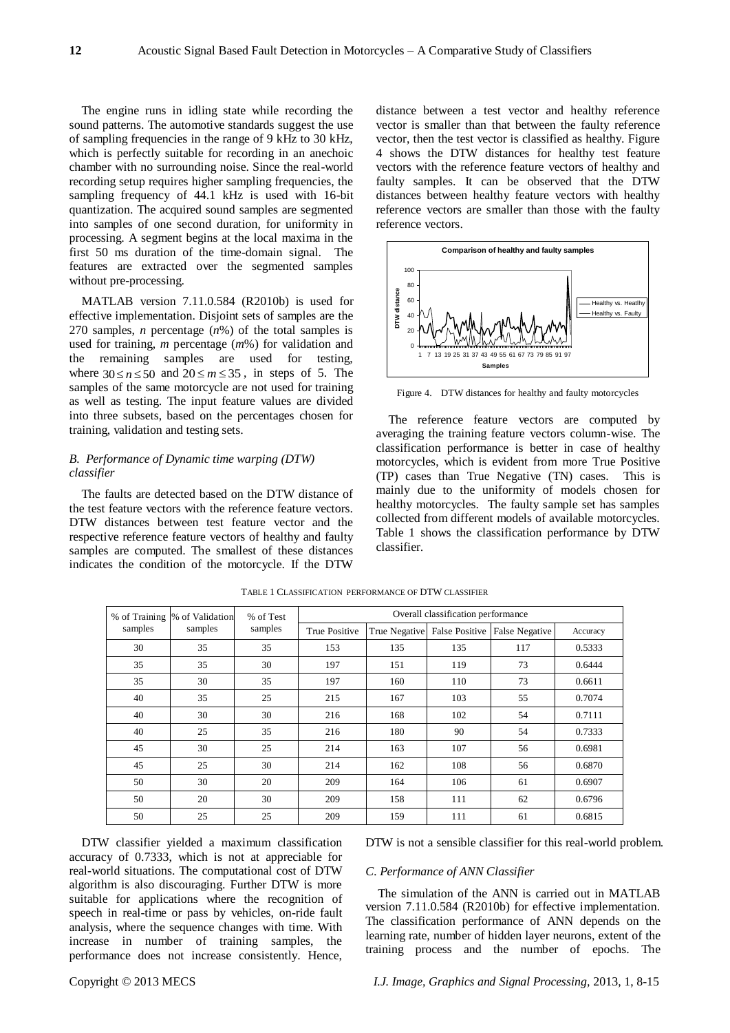The engine runs in idling state while recording the sound patterns. The automotive standards suggest the use of sampling frequencies in the range of 9 kHz to 30 kHz, which is perfectly suitable for recording in an anechoic chamber with no surrounding noise. Since the real-world recording setup requires higher sampling frequencies, the sampling frequency of 44.1 kHz is used with 16-bit quantization. The acquired sound samples are segmented into samples of one second duration, for uniformity in processing. A segment begins at the local maxima in the first 50 ms duration of the time-domain signal. The features are extracted over the segmented samples without pre-processing.

MATLAB version 7.11.0.584 (R2010b) is used for effective implementation. Disjoint sets of samples are the 270 samples, *n* percentage (*n*%) of the total samples is used for training, *m* percentage (*m*%) for validation and the remaining samples are used for testing, where  $30 \le n \le 50$  and  $20 \le m \le 35$ , in steps of 5. The samples of the same motorcycle are not used for training as well as testing. The input feature values are divided into three subsets, based on the percentages chosen for training, validation and testing sets.

# *B. Performance of Dynamic time warping (DTW) classifier*

The faults are detected based on the DTW distance of the test feature vectors with the reference feature vectors. DTW distances between test feature vector and the respective reference feature vectors of healthy and faulty samples are computed. The smallest of these distances indicates the condition of the motorcycle. If the DTW

distance between a test vector and healthy reference vector is smaller than that between the faulty reference vector, then the test vector is classified as healthy. Figure 4 shows the DTW distances for healthy test feature vectors with the reference feature vectors of healthy and faulty samples. It can be observed that the DTW distances between healthy feature vectors with healthy reference vectors are smaller than those with the faulty reference vectors.



Figure 4. DTW distances for healthy and faulty motorcycles

The reference feature vectors are computed by averaging the training feature vectors column-wise. The classification performance is better in case of healthy motorcycles, which is evident from more True Positive (TP) cases than True Negative (TN) cases. This is mainly due to the uniformity of models chosen for healthy motorcycles. The faulty sample set has samples collected from different models of available motorcycles. Table 1 shows the classification performance by DTW classifier.

| samples | % of Training  % of Validation<br>samples | % of Test<br>samples | Overall classification performance |               |     |                                 |          |  |
|---------|-------------------------------------------|----------------------|------------------------------------|---------------|-----|---------------------------------|----------|--|
|         |                                           |                      | True Positive                      | True Negative |     | False Positive   False Negative | Accuracy |  |
| 30      | 35                                        | 35                   | 153                                | 135           | 135 | 117                             | 0.5333   |  |
| 35      | 35                                        | 30                   | 197                                | 151           | 119 | 73                              | 0.6444   |  |
| 35      | 30                                        | 35                   | 197                                | 160           | 110 | 73                              | 0.6611   |  |
| 40      | 35                                        | 25                   | 215                                | 167           | 103 | 55                              | 0.7074   |  |
| 40      | 30                                        | 30                   | 216                                | 168           | 102 | 54                              | 0.7111   |  |
| 40      | 25                                        | 35                   | 216                                | 180           | 90  | 54                              | 0.7333   |  |
| 45      | 30                                        | 25                   | 214                                | 163           | 107 | 56                              | 0.6981   |  |
| 45      | 25                                        | 30                   | 214                                | 162           | 108 | 56                              | 0.6870   |  |
| 50      | 30                                        | 20                   | 209                                | 164           | 106 | 61                              | 0.6907   |  |
| 50      | 20                                        | 30                   | 209                                | 158           | 111 | 62                              | 0.6796   |  |
| 50      | 25                                        | 25                   | 209                                | 159           | 111 | 61                              | 0.6815   |  |

TABLE 1 CLASSIFICATION PERFORMANCE OF DTW CLASSIFIER

DTW classifier yielded a maximum classification accuracy of 0.7333, which is not at appreciable for real-world situations. The computational cost of DTW algorithm is also discouraging. Further DTW is more suitable for applications where the recognition of speech in real-time or pass by vehicles, on-ride fault analysis, where the sequence changes with time. With increase in number of training samples, the performance does not increase consistently. Hence,

DTW is not a sensible classifier for this real-world problem.

### *C. Performance of ANN Classifier*

The simulation of the ANN is carried out in MATLAB version 7.11.0.584 (R2010b) for effective implementation. The classification performance of ANN depends on the learning rate, number of hidden layer neurons, extent of the training process and the number of epochs. The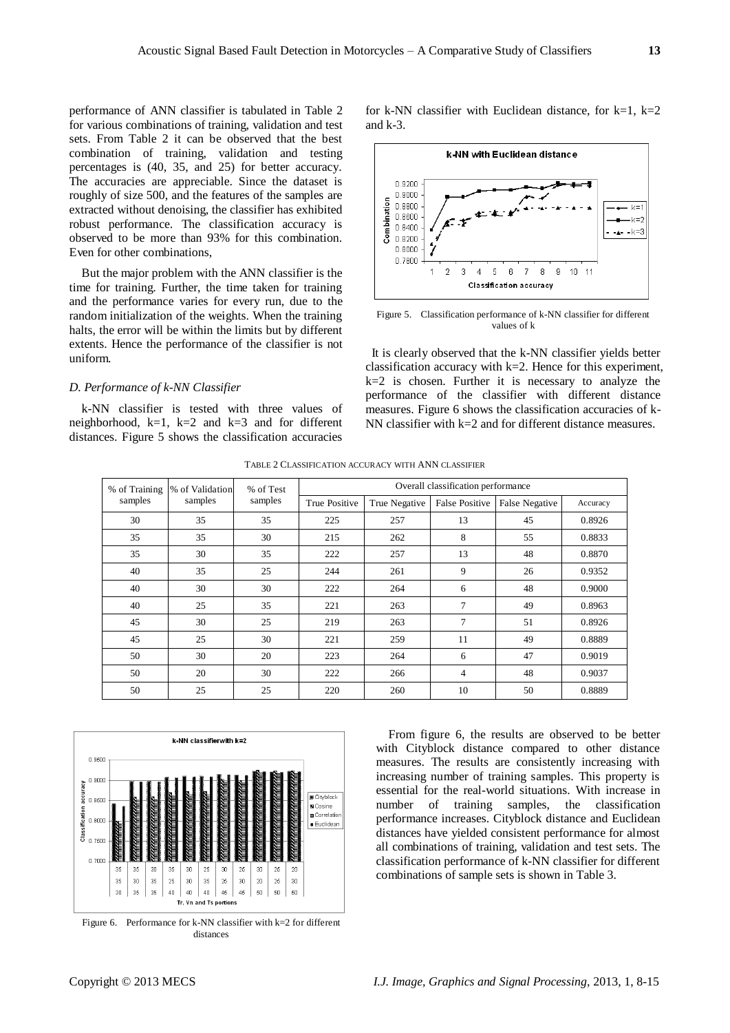performance of ANN classifier is tabulated in Table 2 for various combinations of training, validation and test sets. From Table 2 it can be observed that the best combination of training, validation and testing percentages is (40, 35, and 25) for better accuracy. The accuracies are appreciable. Since the dataset is roughly of size 500, and the features of the samples are extracted without denoising, the classifier has exhibited robust performance. The classification accuracy is observed to be more than 93% for this combination. Even for other combinations,

But the major problem with the ANN classifier is the time for training. Further, the time taken for training and the performance varies for every run, due to the random initialization of the weights. When the training halts, the error will be within the limits but by different extents. Hence the performance of the classifier is not uniform.

## *D. Performance of k-NN Classifier*

k-NN classifier is tested with three values of neighborhood,  $k=1$ ,  $k=2$  and  $k=3$  and for different distances. Figure 5 shows the classification accuracies

for k-NN classifier with Euclidean distance, for  $k=1$ ,  $k=2$ and k-3.



Figure 5. Classification performance of k-NN classifier for different values of k

It is clearly observed that the k-NN classifier yields better classification accuracy with  $k=2$ . Hence for this experiment,  $k=2$  is chosen. Further it is necessary to analyze the performance of the classifier with different distance measures. Figure 6 shows the classification accuracies of k-NN classifier with k=2 and for different distance measures.

| % of Training<br>samples | % of Validation<br>samples | % of Test<br>samples | Overall classification performance |               |                       |                       |          |  |
|--------------------------|----------------------------|----------------------|------------------------------------|---------------|-----------------------|-----------------------|----------|--|
|                          |                            |                      | True Positive                      | True Negative | <b>False Positive</b> | <b>False Negative</b> | Accuracy |  |
| 30                       | 35                         | 35                   | 225                                | 257           | 13                    | 45                    | 0.8926   |  |
| 35                       | 35                         | 30                   | 215                                | 262           | 8                     | 55                    | 0.8833   |  |
| 35                       | 30                         | 35                   | 222                                | 257           | 13                    | 48                    | 0.8870   |  |
| 40                       | 35                         | 25                   | 244                                | 261           | 9                     | 26                    | 0.9352   |  |
| 40                       | 30                         | 30                   | 222                                | 264           | 6                     | 48                    | 0.9000   |  |
| 40                       | 25                         | 35                   | 221                                | 263           | 7                     | 49                    | 0.8963   |  |
| 45                       | 30                         | 25                   | 219                                | 263           | 7                     | 51                    | 0.8926   |  |
| 45                       | 25                         | 30                   | 221                                | 259           | 11                    | 49                    | 0.8889   |  |
| 50                       | 30                         | 20                   | 223                                | 264           | 6                     | 47                    | 0.9019   |  |
| 50                       | 20                         | 30                   | 222                                | 266           | $\overline{4}$        | 48                    | 0.9037   |  |
| 50                       | 25                         | 25                   | 220                                | 260           | 10                    | 50                    | 0.8889   |  |

TABLE 2 CLASSIFICATION ACCURACY WITH ANN CLASSIFIER



distances

From figure 6, the results are observed to be better with Cityblock distance compared to other distance measures. The results are consistently increasing with increasing number of training samples. This property is essential for the real-world situations. With increase in number of training samples, the classification performance increases. Cityblock distance and Euclidean distances have yielded consistent performance for almost all combinations of training, validation and test sets. The classification performance of k-NN classifier for different combinations of sample sets is shown in Table 3.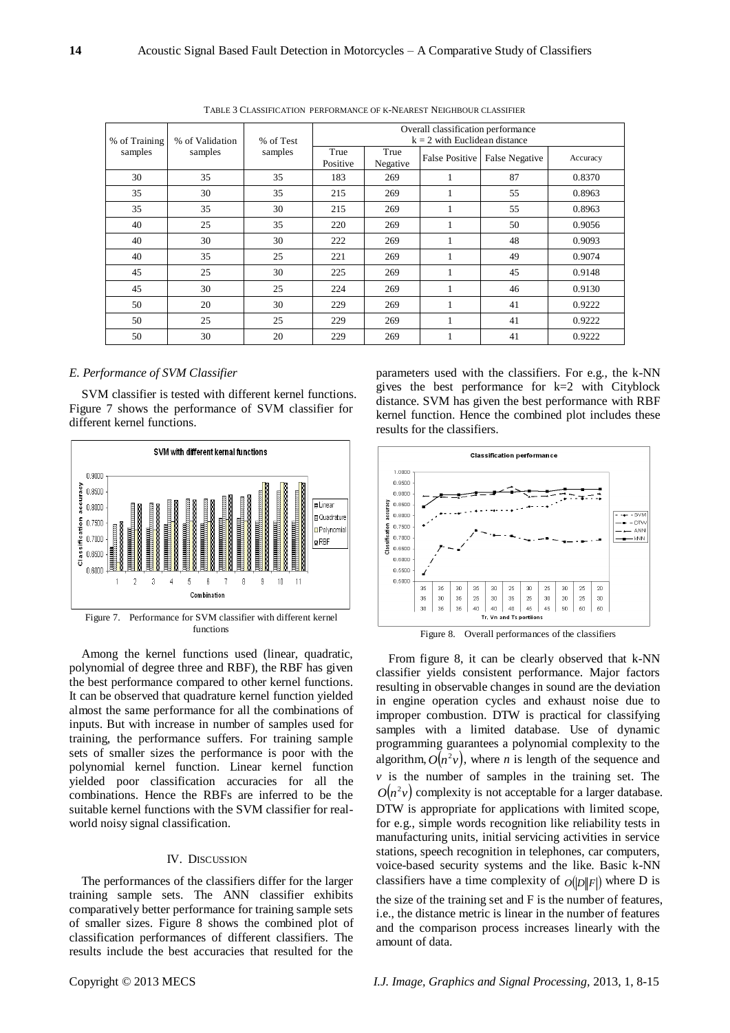| % of Training<br>samples | % of Validation<br>samples | % of Test<br>samples | Overall classification performance<br>$k = 2$ with Euclidean distance |                  |                       |                |          |  |
|--------------------------|----------------------------|----------------------|-----------------------------------------------------------------------|------------------|-----------------------|----------------|----------|--|
|                          |                            |                      | True<br>Positive                                                      | True<br>Negative | <b>False Positive</b> | False Negative | Accuracy |  |
| 30                       | 35                         | 35                   | 183                                                                   | 269              |                       | 87             | 0.8370   |  |
| 35                       | 30                         | 35                   | 215                                                                   | 269              |                       | 55             | 0.8963   |  |
| 35                       | 35                         | 30                   | 215                                                                   | 269              |                       | 55             | 0.8963   |  |
| 40                       | 25                         | 35                   | 220                                                                   | 269              |                       | 50             | 0.9056   |  |
| 40                       | 30                         | 30                   | 222                                                                   | 269              |                       | 48             | 0.9093   |  |
| 40                       | 35                         | 25                   | 221                                                                   | 269              |                       | 49             | 0.9074   |  |
| 45                       | 25                         | 30                   | 225                                                                   | 269              | $\mathbf{1}$          | 45             | 0.9148   |  |
| 45                       | 30                         | 25                   | 224                                                                   | 269              |                       | 46             | 0.9130   |  |
| 50                       | 20                         | 30                   | 229                                                                   | 269              | 1                     | 41             | 0.9222   |  |
| 50                       | 25                         | 25                   | 229                                                                   | 269              |                       | 41             | 0.9222   |  |
| 50                       | 30                         | 20                   | 229                                                                   | 269              |                       | 41             | 0.9222   |  |

TABLE 3 CLASSIFICATION PERFORMANCE OF K-NEAREST NEIGHBOUR CLASSIFIER

# *E. Performance of SVM Classifier*

SVM classifier is tested with different kernel functions. Figure 7 shows the performance of SVM classifier for different kernel functions.



functions

Among the kernel functions used (linear, quadratic, polynomial of degree three and RBF), the RBF has given the best performance compared to other kernel functions. It can be observed that quadrature kernel function yielded almost the same performance for all the combinations of inputs. But with increase in number of samples used for training, the performance suffers. For training sample sets of smaller sizes the performance is poor with the polynomial kernel function. Linear kernel function yielded poor classification accuracies for all the combinations. Hence the RBFs are inferred to be the suitable kernel functions with the SVM classifier for realworld noisy signal classification.

## IV. DISCUSSION

The performances of the classifiers differ for the larger training sample sets. The ANN classifier exhibits comparatively better performance for training sample sets of smaller sizes. Figure 8 shows the combined plot of classification performances of different classifiers. The results include the best accuracies that resulted for the

parameters used with the classifiers. For e.g., the k-NN gives the best performance for k=2 with Cityblock distance. SVM has given the best performance with RBF kernel function. Hence the combined plot includes these results for the classifiers.



Figure 8. Overall performances of the classifiers

From figure 8, it can be clearly observed that k-NN classifier yields consistent performance. Major factors resulting in observable changes in sound are the deviation in engine operation cycles and exhaust noise due to improper combustion. DTW is practical for classifying samples with a limited database. Use of dynamic programming guarantees a polynomial complexity to the algorithm,  $O(n^2v)$ , where *n* is length of the sequence and  $\nu$  is the number of samples in the training set. The  $O(n^2v)$  complexity is not acceptable for a larger database. DTW is appropriate for applications with limited scope, for e.g., simple words recognition like reliability tests in manufacturing units, initial servicing activities in service stations, speech recognition in telephones, car computers, voice-based security systems and the like. Basic k-NN classifiers have a time complexity of  $O(|D||F|)$  where D is the size of the training set and F is the number of features, i.e., the distance metric is linear in the number of features and the comparison process increases linearly with the amount of data.